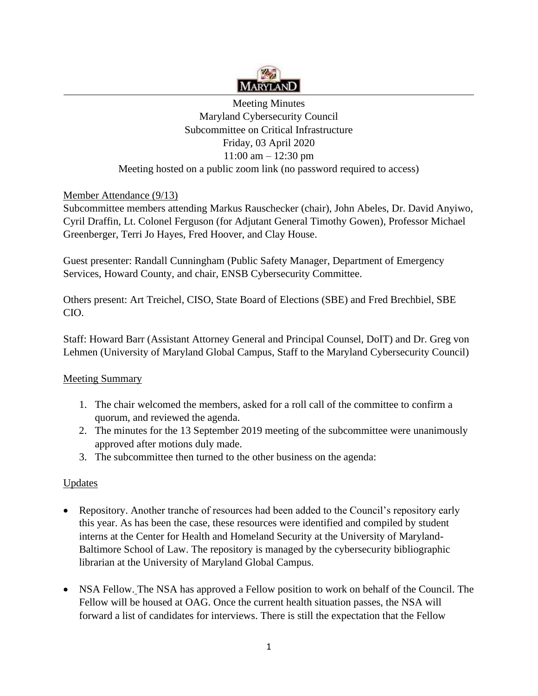

Meeting Minutes Maryland Cybersecurity Council Subcommittee on Critical Infrastructure Friday, 03 April 2020 11:00 am – 12:30 pm Meeting hosted on a public zoom link (no password required to access)

# Member Attendance (9/13)

Subcommittee members attending Markus Rauschecker (chair), John Abeles, Dr. David Anyiwo, Cyril Draffin, Lt. Colonel Ferguson (for Adjutant General Timothy Gowen), Professor Michael Greenberger, Terri Jo Hayes, Fred Hoover, and Clay House.

Guest presenter: Randall Cunningham (Public Safety Manager, Department of Emergency Services, Howard County, and chair, ENSB Cybersecurity Committee.

Others present: Art Treichel, CISO, State Board of Elections (SBE) and Fred Brechbiel, SBE CIO.

Staff: Howard Barr (Assistant Attorney General and Principal Counsel, DoIT) and Dr. Greg von Lehmen (University of Maryland Global Campus, Staff to the Maryland Cybersecurity Council)

### Meeting Summary

- 1. The chair welcomed the members, asked for a roll call of the committee to confirm a quorum, and reviewed the agenda.
- 2. The minutes for the 13 September 2019 meeting of the subcommittee were unanimously approved after motions duly made.
- 3. The subcommittee then turned to the other business on the agenda:

# Updates

- Repository. Another tranche of resources had been added to the Council's repository early this year. As has been the case, these resources were identified and compiled by student interns at the Center for Health and Homeland Security at the University of Maryland-Baltimore School of Law. The repository is managed by the cybersecurity bibliographic librarian at the University of Maryland Global Campus.
- NSA Fellow. The NSA has approved a Fellow position to work on behalf of the Council. The Fellow will be housed at OAG. Once the current health situation passes, the NSA will forward a list of candidates for interviews. There is still the expectation that the Fellow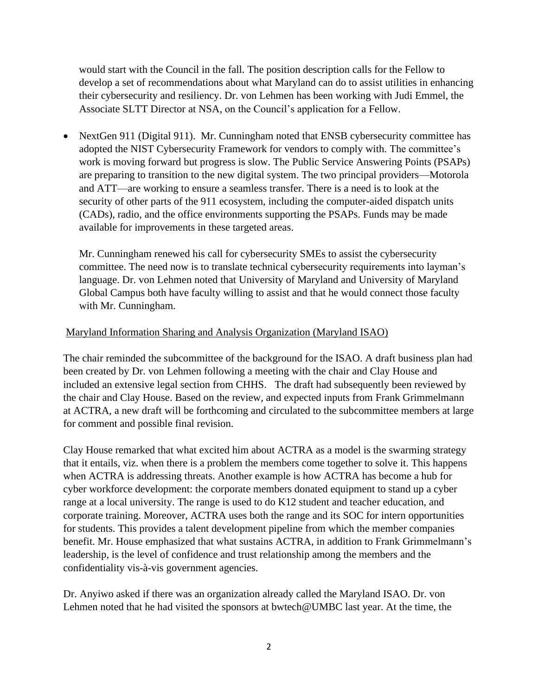would start with the Council in the fall. The position description calls for the Fellow to develop a set of recommendations about what Maryland can do to assist utilities in enhancing their cybersecurity and resiliency. Dr. von Lehmen has been working with Judi Emmel, the Associate SLTT Director at NSA, on the Council's application for a Fellow.

• NextGen 911 (Digital 911). Mr. Cunningham noted that ENSB cybersecurity committee has adopted the NIST Cybersecurity Framework for vendors to comply with. The committee's work is moving forward but progress is slow. The Public Service Answering Points (PSAPs) are preparing to transition to the new digital system. The two principal providers—Motorola and ATT—are working to ensure a seamless transfer. There is a need is to look at the security of other parts of the 911 ecosystem, including the computer-aided dispatch units (CADs), radio, and the office environments supporting the PSAPs. Funds may be made available for improvements in these targeted areas.

Mr. Cunningham renewed his call for cybersecurity SMEs to assist the cybersecurity committee. The need now is to translate technical cybersecurity requirements into layman's language. Dr. von Lehmen noted that University of Maryland and University of Maryland Global Campus both have faculty willing to assist and that he would connect those faculty with Mr. Cunningham.

### Maryland Information Sharing and Analysis Organization (Maryland ISAO)

The chair reminded the subcommittee of the background for the ISAO. A draft business plan had been created by Dr. von Lehmen following a meeting with the chair and Clay House and included an extensive legal section from CHHS. The draft had subsequently been reviewed by the chair and Clay House. Based on the review, and expected inputs from Frank Grimmelmann at ACTRA, a new draft will be forthcoming and circulated to the subcommittee members at large for comment and possible final revision.

Clay House remarked that what excited him about ACTRA as a model is the swarming strategy that it entails, viz. when there is a problem the members come together to solve it. This happens when ACTRA is addressing threats. Another example is how ACTRA has become a hub for cyber workforce development: the corporate members donated equipment to stand up a cyber range at a local university. The range is used to do K12 student and teacher education, and corporate training. Moreover, ACTRA uses both the range and its SOC for intern opportunities for students. This provides a talent development pipeline from which the member companies benefit. Mr. House emphasized that what sustains ACTRA, in addition to Frank Grimmelmann's leadership, is the level of confidence and trust relationship among the members and the confidentiality vis-à-vis government agencies.

Dr. Anyiwo asked if there was an organization already called the Maryland ISAO. Dr. von Lehmen noted that he had visited the sponsors at [bwtech@UMBC](mailto:bwtech@UMBC) last year. At the time, the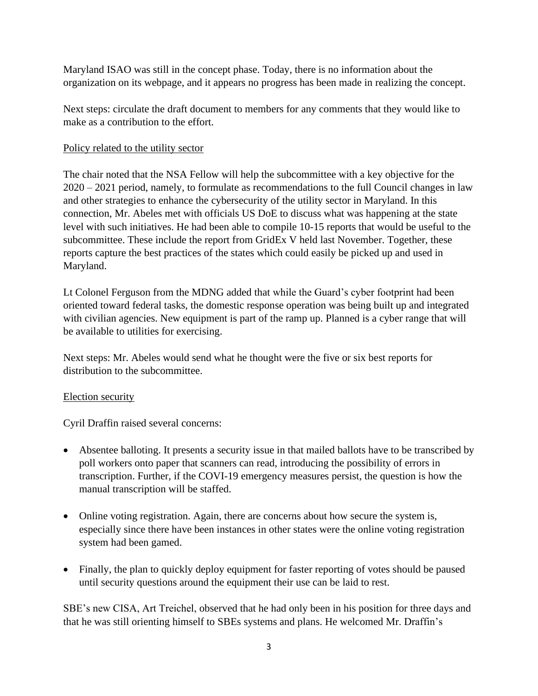Maryland ISAO was still in the concept phase. Today, there is no information about the organization on its webpage, and it appears no progress has been made in realizing the concept.

Next steps: circulate the draft document to members for any comments that they would like to make as a contribution to the effort.

## Policy related to the utility sector

The chair noted that the NSA Fellow will help the subcommittee with a key objective for the 2020 – 2021 period, namely, to formulate as recommendations to the full Council changes in law and other strategies to enhance the cybersecurity of the utility sector in Maryland. In this connection, Mr. Abeles met with officials US DoE to discuss what was happening at the state level with such initiatives. He had been able to compile 10-15 reports that would be useful to the subcommittee. These include the report from GridEx V held last November. Together, these reports capture the best practices of the states which could easily be picked up and used in Maryland.

Lt Colonel Ferguson from the MDNG added that while the Guard's cyber footprint had been oriented toward federal tasks, the domestic response operation was being built up and integrated with civilian agencies. New equipment is part of the ramp up. Planned is a cyber range that will be available to utilities for exercising.

Next steps: Mr. Abeles would send what he thought were the five or six best reports for distribution to the subcommittee.

### Election security

Cyril Draffin raised several concerns:

- Absentee balloting. It presents a security issue in that mailed ballots have to be transcribed by poll workers onto paper that scanners can read, introducing the possibility of errors in transcription. Further, if the COVI-19 emergency measures persist, the question is how the manual transcription will be staffed.
- Online voting registration. Again, there are concerns about how secure the system is, especially since there have been instances in other states were the online voting registration system had been gamed.
- Finally, the plan to quickly deploy equipment for faster reporting of votes should be paused until security questions around the equipment their use can be laid to rest.

SBE's new CISA, Art Treichel, observed that he had only been in his position for three days and that he was still orienting himself to SBEs systems and plans. He welcomed Mr. Draffin's